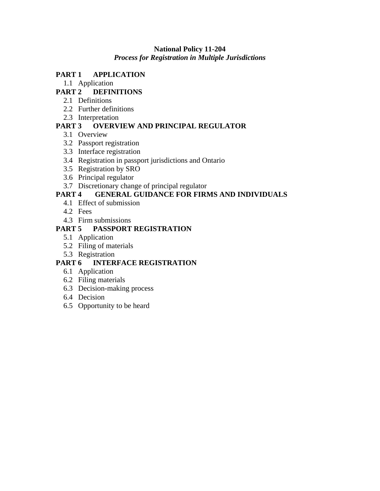#### **National Policy 11-204**  *Process for Registration in Multiple Jurisdictions*

#### **PART 1 APPLICATION**

1.1 Application

### **PART 2 DEFINITIONS**

- 2.1 Definitions
- 2.2 Further definitions
- 2.3 Interpretation

### **PART 3 OVERVIEW AND PRINCIPAL REGULATOR**

- 3.1 Overview
- 3.2 Passport registration
- 3.3 Interface registration
- 3.4 Registration in passport jurisdictions and Ontario
- 3.5 Registration by SRO
- 3.6 Principal regulator
- 3.7 Discretionary change of principal regulator

### **PART 4 GENERAL GUIDANCE FOR FIRMS AND INDIVIDUALS**

- 4.1 Effect of submission
- 4.2 Fees
- 4.3 Firm submissions

### **PART 5 PASSPORT REGISTRATION**

- 5.1 Application
- 5.2 Filing of materials
- 5.3 Registration

### **PART 6 INTERFACE REGISTRATION**

- 6.1 Application
- 6.2 Filing materials
- 6.3 Decision-making process
- 6.4 Decision
- 6.5 Opportunity to be heard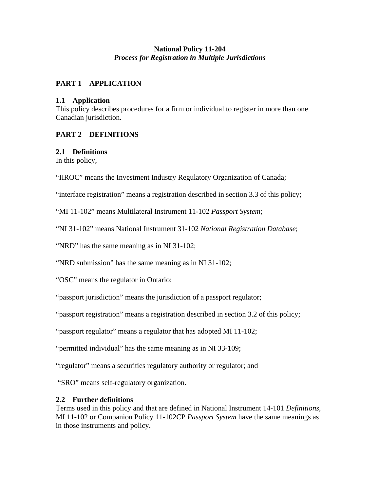#### **National Policy 11-204**  *Process for Registration in Multiple Jurisdictions*

### **PART 1 APPLICATION**

#### **1.1 Application**

This policy describes procedures for a firm or individual to register in more than one Canadian jurisdiction.

### **PART 2 DEFINITIONS**

#### **2.1 Definitions**

In this policy,

"IIROC" means the Investment Industry Regulatory Organization of Canada;

"interface registration" means a registration described in section 3.3 of this policy;

"MI 11-102" means Multilateral Instrument 11-102 *Passport System*;

"NI 31-102" means National Instrument 31-102 *National Registration Database*;

"NRD" has the same meaning as in NI 31-102;

"NRD submission" has the same meaning as in NI 31-102;

"OSC" means the regulator in Ontario;

"passport jurisdiction" means the jurisdiction of a passport regulator;

"passport registration" means a registration described in section 3.2 of this policy;

"passport regulator" means a regulator that has adopted MI 11-102;

"permitted individual" has the same meaning as in NI 33-109;

"regulator" means a securities regulatory authority or regulator; and

"SRO" means self-regulatory organization.

#### **2.2 Further definitions**

Terms used in this policy and that are defined in National Instrument 14-101 *Definitions*, MI 11-102 or Companion Policy 11-102CP *Passport System* have the same meanings as in those instruments and policy.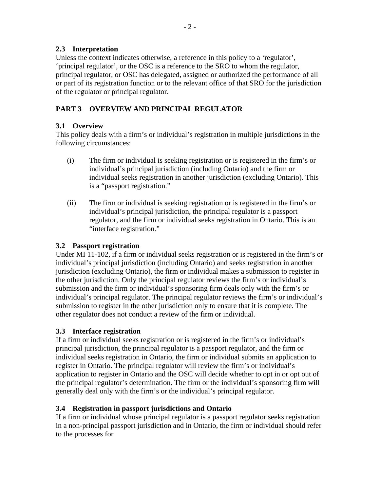Unless the context indicates otherwise, a reference in this policy to a 'regulator', 'principal regulator', or the OSC is a reference to the SRO to whom the regulator, principal regulator, or OSC has delegated, assigned or authorized the performance of all or part of its registration function or to the relevant office of that SRO for the jurisdiction of the regulator or principal regulator.

# **PART 3 OVERVIEW AND PRINCIPAL REGULATOR**

# **3.1 Overview**

This policy deals with a firm's or individual's registration in multiple jurisdictions in the following circumstances:

- (i) The firm or individual is seeking registration or is registered in the firm's or individual's principal jurisdiction (including Ontario) and the firm or individual seeks registration in another jurisdiction (excluding Ontario). This is a "passport registration."
- (ii) The firm or individual is seeking registration or is registered in the firm's or individual's principal jurisdiction, the principal regulator is a passport regulator, and the firm or individual seeks registration in Ontario. This is an "interface registration."

## **3.2 Passport registration**

Under MI 11-102, if a firm or individual seeks registration or is registered in the firm's or individual's principal jurisdiction (including Ontario) and seeks registration in another jurisdiction (excluding Ontario), the firm or individual makes a submission to register in the other jurisdiction. Only the principal regulator reviews the firm's or individual's submission and the firm or individual's sponsoring firm deals only with the firm's or individual's principal regulator. The principal regulator reviews the firm's or individual's submission to register in the other jurisdiction only to ensure that it is complete. The other regulator does not conduct a review of the firm or individual.

## **3.3 Interface registration**

If a firm or individual seeks registration or is registered in the firm's or individual's principal jurisdiction, the principal regulator is a passport regulator, and the firm or individual seeks registration in Ontario, the firm or individual submits an application to register in Ontario. The principal regulator will review the firm's or individual's application to register in Ontario and the OSC will decide whether to opt in or opt out of the principal regulator's determination. The firm or the individual's sponsoring firm will generally deal only with the firm's or the individual's principal regulator.

# **3.4 Registration in passport jurisdictions and Ontario**

If a firm or individual whose principal regulator is a passport regulator seeks registration in a non-principal passport jurisdiction and in Ontario, the firm or individual should refer to the processes for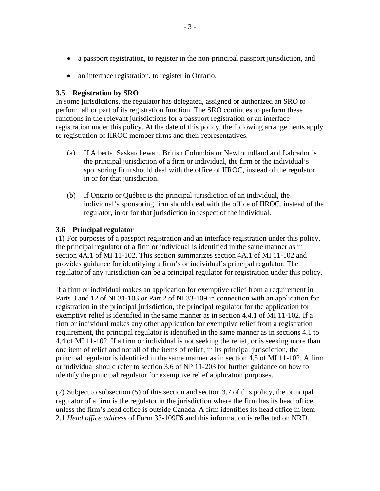- a passport registration, to register in the non-principal passport jurisdiction, and
- an interface registration, to register in Ontario.

#### **3.5 Registration by SRO**

In some jurisdictions, the regulator has delegated, assigned or authorized an SRO to perform all or part of its registration function. The SRO continues to perform these functions in the relevant jurisdictions for a passport registration or an interface registration under this policy. At the date of this policy, the following arrangements apply to registration of IIROC member firms and their representatives.

- (a) If Alberta, Saskatchewan, British Columbia or Newfoundland and Labrador is the principal jurisdiction of a firm or individual, the firm or the individual's sponsoring firm should deal with the office of IIROC, instead of the regulator, in or for that jurisdiction.
- (b) If Ontario or Québec is the principal jurisdiction of an individual, the individual's sponsoring firm should deal with the office of IIROC, instead of the regulator, in or for that jurisdiction in respect of the individual.

#### **3.6 Principal regulator**

(1) For purposes of a passport registration and an interface registration under this policy, the principal regulator of a firm or individual is identified in the same manner as in section 4A.1 of MI 11-102. This section summarizes section 4A.1 of MI 11-102 and provides guidance for identifying a firm's or individual's principal regulator. The regulator of any jurisdiction can be a principal regulator for registration under this policy.

If a firm or individual makes an application for exemptive relief from a requirement in Parts 3 and 12 of NI 31-103 or Part 2 of NI 33-109 in connection with an application for registration in the principal jurisdiction, the principal regulator for the application for exemptive relief is identified in the same manner as in section 4.4.1 of MI 11-102. If a firm or individual makes any other application for exemptive relief from a registration requirement, the principal regulator is identified in the same manner as in sections 4.1 to 4.4 of MI 11-102. If a firm or individual is not seeking the relief, or is seeking more than one item of relief and not all of the items of relief, in its principal jurisdiction, the principal regulator is identified in the same manner as in section 4.5 of MI 11-102. A firm or individual should refer to section 3.6 of NP 11-203 for further guidance on how to identify the principal regulator for exemptive relief application purposes.

(2) Subject to subsection (5) of this section and section 3.7 of this policy, the principal regulator of a firm is the regulator in the jurisdiction where the firm has its head office, unless the firm's head office is outside Canada. A firm identifies its head office in item 2.1 *Head office address* of Form 33-109F6 and this information is reflected on NRD.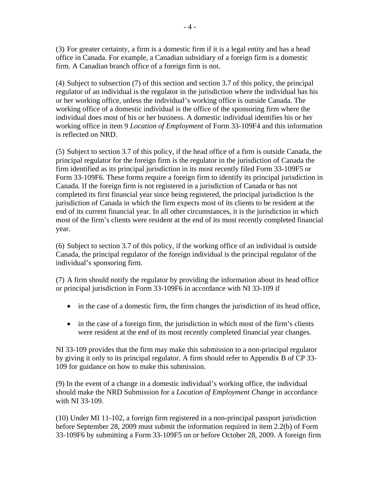(3) For greater certainty, a firm is a domestic firm if it is a legal entity and has a head office in Canada. For example, a Canadian subsidiary of a foreign firm is a domestic firm. A Canadian branch office of a foreign firm is not.

(4) Subject to subsection (7) of this section and section 3.7 of this policy, the principal regulator of an individual is the regulator in the jurisdiction where the individual has his or her working office, unless the individual's working office is outside Canada. The working office of a domestic individual is the office of the sponsoring firm where the individual does most of his or her business. A domestic individual identifies his or her working office in item 9 *Location of Employment* of Form 33-109F4 and this information is reflected on NRD.

(5) Subject to section 3.7 of this policy, if the head office of a firm is outside Canada, the principal regulator for the foreign firm is the regulator in the jurisdiction of Canada the firm identified as its principal jurisdiction in its most recently filed Form 33-109F5 or Form 33-109F6. These forms require a foreign firm to identify its principal jurisdiction in Canada. If the foreign firm is not registered in a jurisdiction of Canada or has not completed its first financial year since being registered, the principal jurisdiction is the jurisdiction of Canada in which the firm expects most of its clients to be resident at the end of its current financial year. In all other circumstances, it is the jurisdiction in which most of the firm's clients were resident at the end of its most recently completed financial year.

(6) Subject to section 3.7 of this policy, if the working office of an individual is outside Canada, the principal regulator of the foreign individual is the principal regulator of the individual's sponsoring firm.

(7) A firm should notify the regulator by providing the information about its head office or principal jurisdiction in Form 33-109F6 in accordance with NI 33-109 if

- in the case of a domestic firm, the firm changes the jurisdiction of its head office,
- in the case of a foreign firm, the jurisdiction in which most of the firm's clients were resident at the end of its most recently completed financial year changes.

NI 33-109 provides that the firm may make this submission to a non-principal regulator by giving it only to its principal regulator. A firm should refer to Appendix B of CP 33- 109 for guidance on how to make this submission.

(9) In the event of a change in a domestic individual's working office, the individual should make the NRD Submission for a *Location of Employment Change* in accordance with NI 33-109.

(10) Under MI 11-102, a foreign firm registered in a non-principal passport jurisdiction before September 28, 2009 must submit the information required in item 2.2(b) of Form 33-109F6 by submitting a Form 33-109F5 on or before October 28, 2009. A foreign firm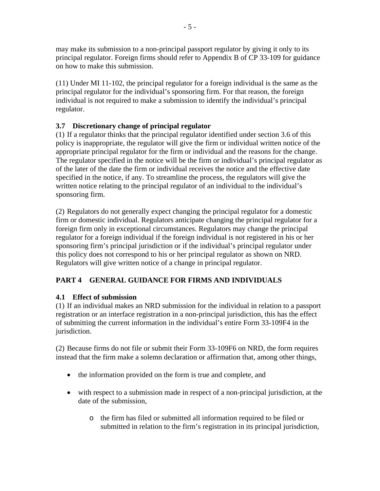may make its submission to a non-principal passport regulator by giving it only to its principal regulator. Foreign firms should refer to Appendix B of CP 33-109 for guidance on how to make this submission.

(11) Under MI 11-102, the principal regulator for a foreign individual is the same as the principal regulator for the individual's sponsoring firm. For that reason, the foreign individual is not required to make a submission to identify the individual's principal regulator.

### **3.7 Discretionary change of principal regulator**

(1) If a regulator thinks that the principal regulator identified under section 3.6 of this policy is inappropriate, the regulator will give the firm or individual written notice of the appropriate principal regulator for the firm or individual and the reasons for the change. The regulator specified in the notice will be the firm or individual's principal regulator as of the later of the date the firm or individual receives the notice and the effective date specified in the notice, if any. To streamline the process, the regulators will give the written notice relating to the principal regulator of an individual to the individual's sponsoring firm.

(2) Regulators do not generally expect changing the principal regulator for a domestic firm or domestic individual. Regulators anticipate changing the principal regulator for a foreign firm only in exceptional circumstances. Regulators may change the principal regulator for a foreign individual if the foreign individual is not registered in his or her sponsoring firm's principal jurisdiction or if the individual's principal regulator under this policy does not correspond to his or her principal regulator as shown on NRD. Regulators will give written notice of a change in principal regulator.

### **PART 4 GENERAL GUIDANCE FOR FIRMS AND INDIVIDUALS**

### **4.1 Effect of submission**

(1) If an individual makes an NRD submission for the individual in relation to a passport registration or an interface registration in a non-principal jurisdiction, this has the effect of submitting the current information in the individual's entire Form 33-109F4 in the jurisdiction.

(2) Because firms do not file or submit their Form 33-109F6 on NRD, the form requires instead that the firm make a solemn declaration or affirmation that, among other things,

- the information provided on the form is true and complete, and
- with respect to a submission made in respect of a non-principal jurisdiction, at the date of the submission,
	- o the firm has filed or submitted all information required to be filed or submitted in relation to the firm's registration in its principal jurisdiction,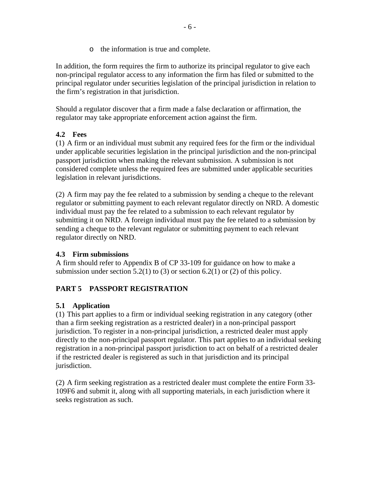o the information is true and complete.

In addition, the form requires the firm to authorize its principal regulator to give each non-principal regulator access to any information the firm has filed or submitted to the principal regulator under securities legislation of the principal jurisdiction in relation to the firm's registration in that jurisdiction.

Should a regulator discover that a firm made a false declaration or affirmation, the regulator may take appropriate enforcement action against the firm.

### **4.2 Fees**

(1) A firm or an individual must submit any required fees for the firm or the individual under applicable securities legislation in the principal jurisdiction and the non-principal passport jurisdiction when making the relevant submission. A submission is not considered complete unless the required fees are submitted under applicable securities legislation in relevant jurisdictions.

(2) A firm may pay the fee related to a submission by sending a cheque to the relevant regulator or submitting payment to each relevant regulator directly on NRD. A domestic individual must pay the fee related to a submission to each relevant regulator by submitting it on NRD. A foreign individual must pay the fee related to a submission by sending a cheque to the relevant regulator or submitting payment to each relevant regulator directly on NRD.

#### **4.3 Firm submissions**

A firm should refer to Appendix B of CP 33-109 for guidance on how to make a submission under section 5.2(1) to (3) or section 6.2(1) or (2) of this policy.

### **PART 5 PASSPORT REGISTRATION**

#### **5.1 Application**

(1) This part applies to a firm or individual seeking registration in any category (other than a firm seeking registration as a restricted dealer) in a non-principal passport jurisdiction. To register in a non-principal jurisdiction, a restricted dealer must apply directly to the non-principal passport regulator. This part applies to an individual seeking registration in a non-principal passport jurisdiction to act on behalf of a restricted dealer if the restricted dealer is registered as such in that jurisdiction and its principal jurisdiction.

(2) A firm seeking registration as a restricted dealer must complete the entire Form 33- 109F6 and submit it, along with all supporting materials, in each jurisdiction where it seeks registration as such.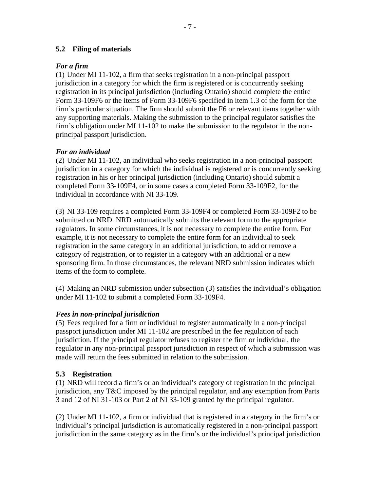#### **5.2 Filing of materials**

#### *For a firm*

(1) Under MI 11-102, a firm that seeks registration in a non-principal passport jurisdiction in a category for which the firm is registered or is concurrently seeking registration in its principal jurisdiction (including Ontario) should complete the entire Form 33-109F6 or the items of Form 33-109F6 specified in item 1.3 of the form for the firm's particular situation. The firm should submit the F6 or relevant items together with any supporting materials. Making the submission to the principal regulator satisfies the firm's obligation under MI 11-102 to make the submission to the regulator in the nonprincipal passport jurisdiction.

#### *For an individual*

(2) Under MI 11-102, an individual who seeks registration in a non-principal passport jurisdiction in a category for which the individual is registered or is concurrently seeking registration in his or her principal jurisdiction (including Ontario) should submit a completed Form 33-109F4, or in some cases a completed Form 33-109F2, for the individual in accordance with NI 33-109.

(3) NI 33-109 requires a completed Form 33-109F4 or completed Form 33-109F2 to be submitted on NRD. NRD automatically submits the relevant form to the appropriate regulators. In some circumstances, it is not necessary to complete the entire form. For example, it is not necessary to complete the entire form for an individual to seek registration in the same category in an additional jurisdiction, to add or remove a category of registration, or to register in a category with an additional or a new sponsoring firm. In those circumstances, the relevant NRD submission indicates which items of the form to complete.

(4) Making an NRD submission under subsection (3) satisfies the individual's obligation under MI 11-102 to submit a completed Form 33-109F4.

#### *Fees in non-principal jurisdiction*

(5) Fees required for a firm or individual to register automatically in a non-principal passport jurisdiction under MI 11-102 are prescribed in the fee regulation of each jurisdiction. If the principal regulator refuses to register the firm or individual, the regulator in any non-principal passport jurisdiction in respect of which a submission was made will return the fees submitted in relation to the submission.

#### **5.3 Registration**

(1) NRD will record a firm's or an individual's category of registration in the principal jurisdiction, any T&C imposed by the principal regulator, and any exemption from Parts 3 and 12 of NI 31-103 or Part 2 of NI 33-109 granted by the principal regulator.

(2) Under MI 11-102, a firm or individual that is registered in a category in the firm's or individual's principal jurisdiction is automatically registered in a non-principal passport jurisdiction in the same category as in the firm's or the individual's principal jurisdiction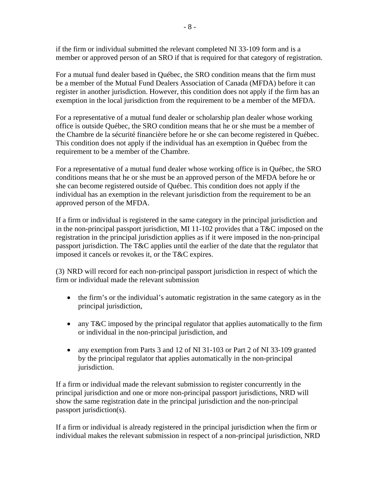if the firm or individual submitted the relevant completed NI 33-109 form and is a member or approved person of an SRO if that is required for that category of registration.

For a mutual fund dealer based in Québec, the SRO condition means that the firm must be a member of the Mutual Fund Dealers Association of Canada (MFDA) before it can register in another jurisdiction. However, this condition does not apply if the firm has an exemption in the local jurisdiction from the requirement to be a member of the MFDA.

For a representative of a mutual fund dealer or scholarship plan dealer whose working office is outside Québec, the SRO condition means that he or she must be a member of the Chambre de la sécurité financière before he or she can become registered in Québec. This condition does not apply if the individual has an exemption in Québec from the requirement to be a member of the Chambre.

For a representative of a mutual fund dealer whose working office is in Québec, the SRO conditions means that he or she must be an approved person of the MFDA before he or she can become registered outside of Québec. This condition does not apply if the individual has an exemption in the relevant jurisdiction from the requirement to be an approved person of the MFDA.

If a firm or individual is registered in the same category in the principal jurisdiction and in the non-principal passport jurisdiction, MI 11-102 provides that a T&C imposed on the registration in the principal jurisdiction applies as if it were imposed in the non-principal passport jurisdiction. The T&C applies until the earlier of the date that the regulator that imposed it cancels or revokes it, or the T&C expires.

(3) NRD will record for each non-principal passport jurisdiction in respect of which the firm or individual made the relevant submission

- the firm's or the individual's automatic registration in the same category as in the principal jurisdiction,
- any T&C imposed by the principal regulator that applies automatically to the firm or individual in the non-principal jurisdiction, and
- any exemption from Parts 3 and 12 of NI 31-103 or Part 2 of NI 33-109 granted by the principal regulator that applies automatically in the non-principal jurisdiction.

If a firm or individual made the relevant submission to register concurrently in the principal jurisdiction and one or more non-principal passport jurisdictions, NRD will show the same registration date in the principal jurisdiction and the non-principal passport jurisdiction(s).

If a firm or individual is already registered in the principal jurisdiction when the firm or individual makes the relevant submission in respect of a non-principal jurisdiction, NRD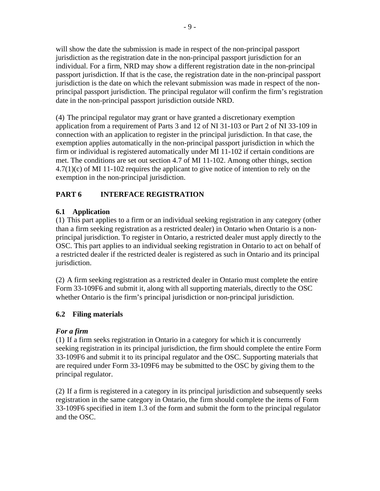will show the date the submission is made in respect of the non-principal passport jurisdiction as the registration date in the non-principal passport jurisdiction for an individual. For a firm, NRD may show a different registration date in the non-principal passport jurisdiction. If that is the case, the registration date in the non-principal passport jurisdiction is the date on which the relevant submission was made in respect of the nonprincipal passport jurisdiction. The principal regulator will confirm the firm's registration date in the non-principal passport jurisdiction outside NRD.

(4) The principal regulator may grant or have granted a discretionary exemption application from a requirement of Parts 3 and 12 of NI 31-103 or Part 2 of NI 33-109 in connection with an application to register in the principal jurisdiction. In that case, the exemption applies automatically in the non-principal passport jurisdiction in which the firm or individual is registered automatically under MI 11-102 if certain conditions are met. The conditions are set out section 4.7 of MI 11-102. Among other things, section 4.7(1)(c) of MI 11-102 requires the applicant to give notice of intention to rely on the exemption in the non-principal jurisdiction.

## **PART 6 INTERFACE REGISTRATION**

### **6.1 Application**

(1) This part applies to a firm or an individual seeking registration in any category (other than a firm seeking registration as a restricted dealer) in Ontario when Ontario is a nonprincipal jurisdiction. To register in Ontario, a restricted dealer must apply directly to the OSC. This part applies to an individual seeking registration in Ontario to act on behalf of a restricted dealer if the restricted dealer is registered as such in Ontario and its principal jurisdiction.

(2) A firm seeking registration as a restricted dealer in Ontario must complete the entire Form 33-109F6 and submit it, along with all supporting materials, directly to the OSC whether Ontario is the firm's principal jurisdiction or non-principal jurisdiction.

#### **6.2 Filing materials**

### *For a firm*

(1) If a firm seeks registration in Ontario in a category for which it is concurrently seeking registration in its principal jurisdiction, the firm should complete the entire Form 33-109F6 and submit it to its principal regulator and the OSC. Supporting materials that are required under Form 33-109F6 may be submitted to the OSC by giving them to the principal regulator.

(2) If a firm is registered in a category in its principal jurisdiction and subsequently seeks registration in the same category in Ontario, the firm should complete the items of Form 33-109F6 specified in item 1.3 of the form and submit the form to the principal regulator and the OSC.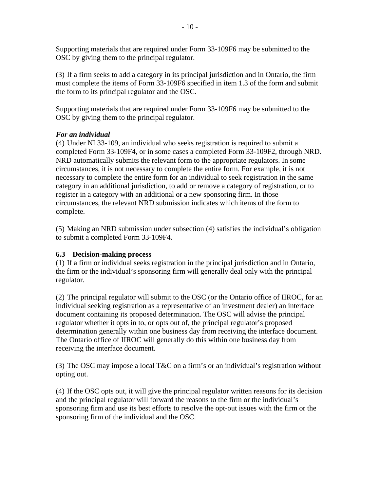Supporting materials that are required under Form 33-109F6 may be submitted to the OSC by giving them to the principal regulator.

(3) If a firm seeks to add a category in its principal jurisdiction and in Ontario, the firm must complete the items of Form 33-109F6 specified in item 1.3 of the form and submit the form to its principal regulator and the OSC.

Supporting materials that are required under Form 33-109F6 may be submitted to the OSC by giving them to the principal regulator.

#### *For an individual*

(4) Under NI 33-109, an individual who seeks registration is required to submit a completed Form 33-109F4, or in some cases a completed Form 33-109F2, through NRD. NRD automatically submits the relevant form to the appropriate regulators. In some circumstances, it is not necessary to complete the entire form. For example, it is not necessary to complete the entire form for an individual to seek registration in the same category in an additional jurisdiction, to add or remove a category of registration, or to register in a category with an additional or a new sponsoring firm. In those circumstances, the relevant NRD submission indicates which items of the form to complete.

(5) Making an NRD submission under subsection (4) satisfies the individual's obligation to submit a completed Form 33-109F4.

### **6.3 Decision-making process**

(1) If a firm or individual seeks registration in the principal jurisdiction and in Ontario, the firm or the individual's sponsoring firm will generally deal only with the principal regulator.

(2) The principal regulator will submit to the OSC (or the Ontario office of IIROC, for an individual seeking registration as a representative of an investment dealer) an interface document containing its proposed determination. The OSC will advise the principal regulator whether it opts in to, or opts out of, the principal regulator's proposed determination generally within one business day from receiving the interface document. The Ontario office of IIROC will generally do this within one business day from receiving the interface document.

(3) The OSC may impose a local T&C on a firm's or an individual's registration without opting out.

(4) If the OSC opts out, it will give the principal regulator written reasons for its decision and the principal regulator will forward the reasons to the firm or the individual's sponsoring firm and use its best efforts to resolve the opt-out issues with the firm or the sponsoring firm of the individual and the OSC.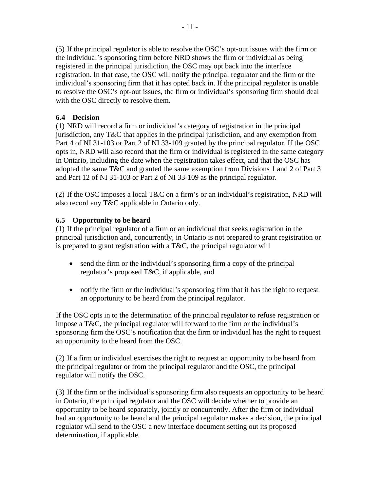(5) If the principal regulator is able to resolve the OSC's opt-out issues with the firm or the individual's sponsoring firm before NRD shows the firm or individual as being registered in the principal jurisdiction, the OSC may opt back into the interface registration. In that case, the OSC will notify the principal regulator and the firm or the individual's sponsoring firm that it has opted back in. If the principal regulator is unable to resolve the OSC's opt-out issues, the firm or individual's sponsoring firm should deal with the OSC directly to resolve them.

### **6.4 Decision**

(1) NRD will record a firm or individual's category of registration in the principal jurisdiction, any T&C that applies in the principal jurisdiction, and any exemption from Part 4 of NI 31-103 or Part 2 of NI 33-109 granted by the principal regulator. If the OSC opts in, NRD will also record that the firm or individual is registered in the same category in Ontario, including the date when the registration takes effect, and that the OSC has adopted the same T&C and granted the same exemption from Divisions 1 and 2 of Part 3 and Part 12 of NI 31-103 or Part 2 of NI 33-109 as the principal regulator.

(2) If the OSC imposes a local  $T\&C$  on a firm's or an individual's registration, NRD will also record any T&C applicable in Ontario only.

### **6.5 Opportunity to be heard**

(1) If the principal regulator of a firm or an individual that seeks registration in the principal jurisdiction and, concurrently, in Ontario is not prepared to grant registration or is prepared to grant registration with a T&C, the principal regulator will

- send the firm or the individual's sponsoring firm a copy of the principal regulator's proposed T&C, if applicable, and
- notify the firm or the individual's sponsoring firm that it has the right to request an opportunity to be heard from the principal regulator.

If the OSC opts in to the determination of the principal regulator to refuse registration or impose a T&C, the principal regulator will forward to the firm or the individual's sponsoring firm the OSC's notification that the firm or individual has the right to request an opportunity to the heard from the OSC.

(2) If a firm or individual exercises the right to request an opportunity to be heard from the principal regulator or from the principal regulator and the OSC, the principal regulator will notify the OSC.

(3) If the firm or the individual's sponsoring firm also requests an opportunity to be heard in Ontario, the principal regulator and the OSC will decide whether to provide an opportunity to be heard separately, jointly or concurrently. After the firm or individual had an opportunity to be heard and the principal regulator makes a decision, the principal regulator will send to the OSC a new interface document setting out its proposed determination, if applicable.